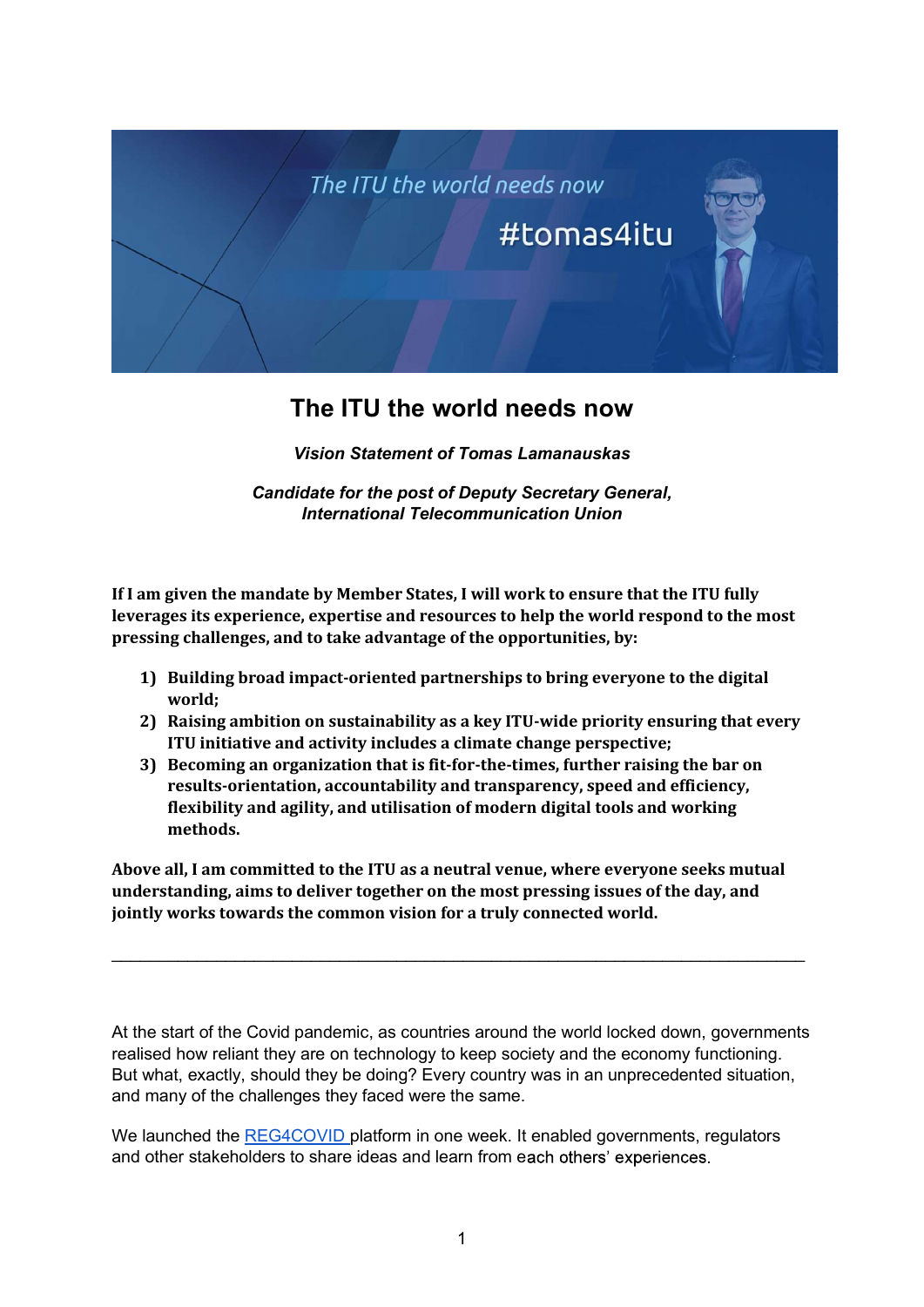

## The ITU the world needs now

Vision Statement of Tomas Lamanauskas

Candidate for the post of Deputy Secretary General, International Telecommunication Union

If I am given the mandate by Member States, I will work to ensure that the ITU fully leverages its experience, expertise and resources to help the world respond to the most pressing challenges, and to take advantage of the opportunities, by:

- 1) Building broad impact-oriented partnerships to bring everyone to the digital world;
- 2) Raising ambition on sustainability as a key ITU-wide priority ensuring that every ITU initiative and activity includes a climate change perspective;
- 3) Becoming an organization that is fit-for-the-times, further raising the bar on results-orientation, accountability and transparency, speed and efficiency, flexibility and agility, and utilisation of modern digital tools and working methods.

Above all, I am committed to the ITU as a neutral venue, where everyone seeks mutual understanding, aims to deliver together on the most pressing issues of the day, and jointly works towards the common vision for a truly connected world.

At the start of the Covid pandemic, as countries around the world locked down, governments realised how reliant they are on technology to keep society and the economy functioning. But what, exactly, should they be doing? Every country was in an unprecedented situation, and many of the challenges they faced were the same.

We launched the REG4COVID platform in one week. It enabled governments, regulators and other stakeholders to share ideas and learn from each others' experiences.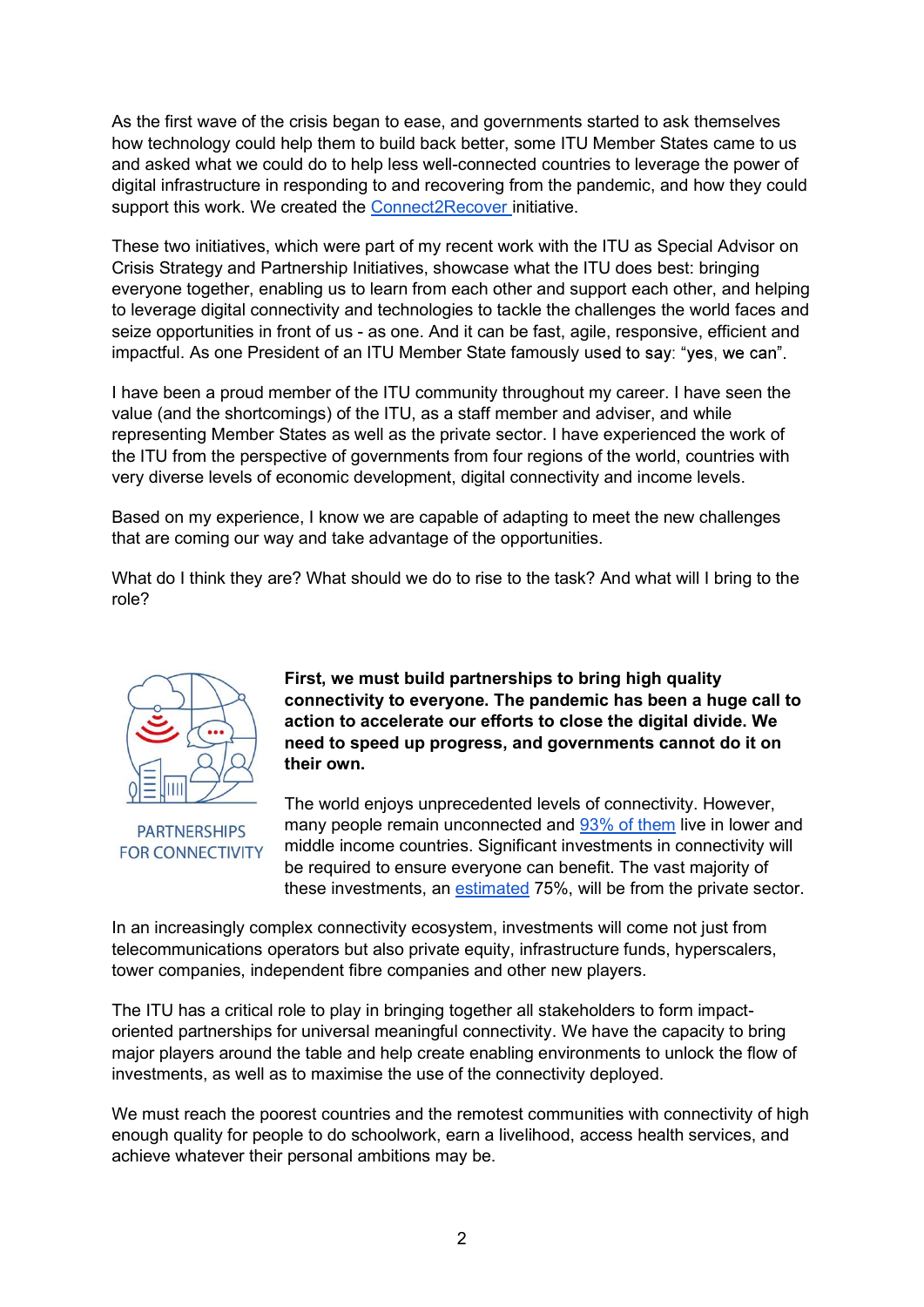As the first wave of the crisis began to ease, and governments started to ask themselves how technology could help them to build back better, some ITU Member States came to us As the first wave of the crisis began to ease, and governments started to ask themselves<br>how technology could help them to build back better, some ITU Member States came to us<br>and asked what we could do to help less well-c digital infrastructure in responding to and recovering from the pandemic, and how they could support this work. We created the Connect2Recover initiative.

These two initiatives, which were part of my recent work with the ITU as Special Advisor on Crisis Strategy and Partnership Initiatives, showcase what the ITU does best: bringing everyone together, enabling us to learn from each other and support each other, and helping to leverage digital connectivity and technologies to tackle the challenges the world faces and As the first wave of the crisis began to ease, and governments started to ask themselves<br>how technology could help them to build back better, some ITU Member States came to us<br>and asked what we could do to help less well-c impactful. As one President of an ITU Member State famously used to say: "yes, we can".

I have been a proud member of the ITU community throughout my career. I have seen the value (and the shortcomings) of the ITU, as a staff member and adviser, and while representing Member States as well as the private sector. I have experienced the work of the ITU from the perspective of governments from four regions of the world, countries with very diverse levels of economic development, digital connectivity and income levels.

Based on my experience, I know we are capable of adapting to meet the new challenges that are coming our way and take advantage of the opportunities.

What do I think they are? What should we do to rise to the task? And what will I bring to the role?



**PARTNERSHIPS FOR CONNECTIVITY** 

First, we must build partnerships to bring high quality connectivity to everyone. The pandemic has been a huge call to action to accelerate our efforts to close the digital divide. We need to speed up progress, and governments cannot do it on their own.

The world enjoys unprecedented levels of connectivity. However, many people remain unconnected and 93% of them live in lower and middle income countries. Significant investments in connectivity will be required to ensure everyone can benefit. The vast majority of these investments, an estimated 75%, will be from the private sector.

In an increasingly complex connectivity ecosystem, investments will come not just from telecommunications operators but also private equity, infrastructure funds, hyperscalers, tower companies, independent fibre companies and other new players.

The ITU has a critical role to play in bringing together all stakeholders to form impactoriented partnerships for universal meaningful connectivity. We have the capacity to bring major players around the table and help create enabling environments to unlock the flow of investments, as well as to maximise the use of the connectivity deployed.

We must reach the poorest countries and the remotest communities with connectivity of high enough quality for people to do schoolwork, earn a livelihood, access health services, and achieve whatever their personal ambitions may be.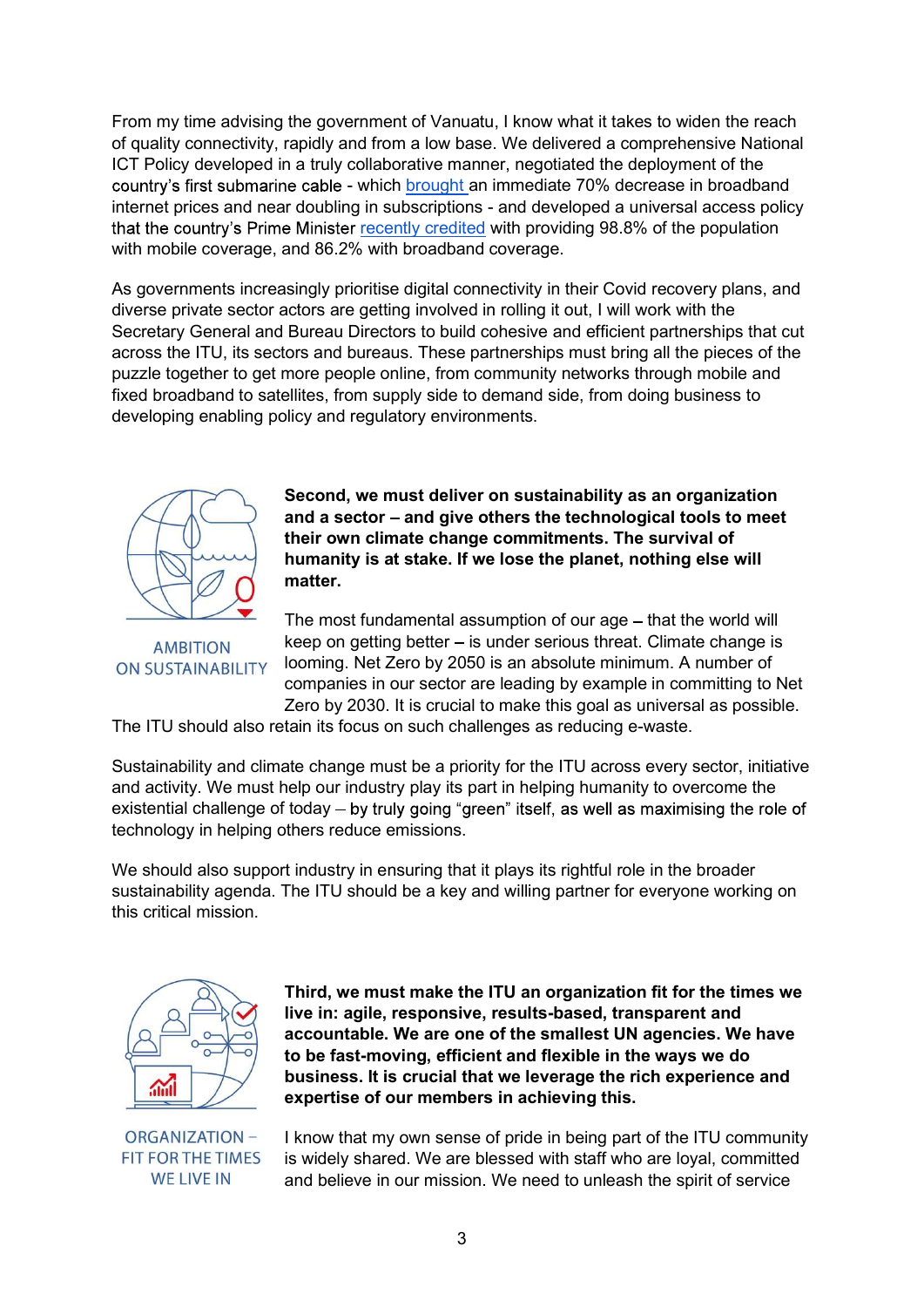From my time advising the government of Vanuatu, I know what it takes to widen the reach of quality connectivity, rapidly and from a low base. We delivered a comprehensive National ICT Policy developed in a truly collaborative manner, negotiated the deployment of the ernment of Vanuatu, I know what it takes to widen the reach<br>nd from a low base. We delivered a comprehensive National<br>collaborative manner, negotiated the deployment of the<br>- which <u>brought</u> an immediate 70% decrease in br From my time advising the government of Vanuatu, I know what it takes to widen the reach<br>of quality connectivity, rapidly and from a low base. We delivered a comprehensive National<br>ICT Policy developed in a truly collabora that the country's Prime Minister recently credited with providing 98.8% of the population with mobile coverage, and 86.2% with broadband coverage.

As governments increasingly prioritise digital connectivity in their Covid recovery plans, and diverse private sector actors are getting involved in rolling it out, I will work with the Secretary General and Bureau Directors to build cohesive and efficient partnerships that cut across the ITU, its sectors and bureaus. These partnerships must bring all the pieces of the puzzle together to get more people online, from community networks through mobile and fixed broadband to satellites, from supply side to demand side, from doing business to developing enabling policy and regulatory environments.



Second, we must deliver on sustainability as an organization and a sector – and give others the technological tools to meet their own climate change commitments. The survival of humanity is at stake. If we lose the planet, nothing else will matter.

The most fundamental assumption of our age – that the world will keep on getting better  $-$  is under serious threat. Climate change is looming. Net Zero by 2050 is an absolute minimum. A number of companies in our sector are leading by example in committing to Net Zero by 2030. It is crucial to make this goal as universal as possible.

The ITU should also retain its focus on such challenges as reducing e-waste.

Sustainability and climate change must be a priority for the ITU across every sector, initiative and activity. We must help our industry play its part in helping humanity to overcome the existential challenge of today – by truly going "green" itself, as well as maximising the role of technology in helping others reduce emissions. Second, we must deliver on sustainability as an organization<br>
and a sector – and give others the technological tools to meet<br>
thurn on climate change commitments. The survival of<br>
humanity is at stake. If we lose the plane

sustainability agenda. The ITU should be a key and willing partner for everyone working on this critical mission.



Third, we must make the ITU an organization fit for the times we live in: agile, responsive, results-based, transparent and accountable. We are one of the smallest UN agencies. We have to be fast-moving, efficient and flexible in the ways we do business. It is crucial that we leverage the rich experience and expertise of our members in achieving this.

**ORGANIZATION -FIT FOR THE TIMES WE LIVE IN** 

I know that my own sense of pride in being part of the ITU community is widely shared. We are blessed with staff who are loyal, committed and believe in our mission. We need to unleash the spirit of service